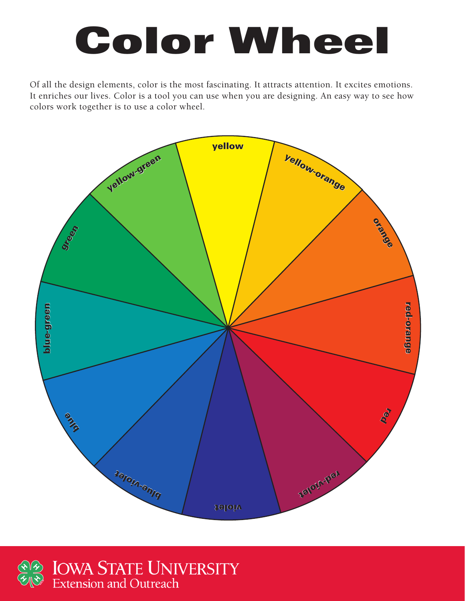# Color Wheel

Of all the design elements, color is the most fascinating. It attracts attention. It excites emotions. It enriches our lives. Color is a tool you can use when you are designing. An easy way to see how colors work together is to use a color wheel.